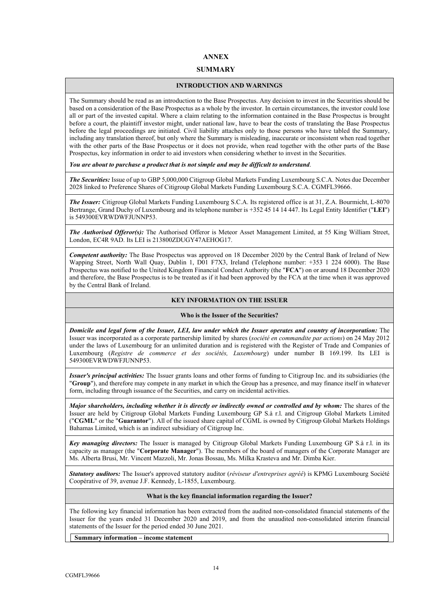# **ANNEX**

# **SUMMARY**

# **INTRODUCTION AND WARNINGS**

The Summary should be read as an introduction to the Base Prospectus. Any decision to invest in the Securities should be based on a consideration of the Base Prospectus as a whole by the investor. In certain circumstances, the investor could lose all or part of the invested capital. Where a claim relating to the information contained in the Base Prospectus is brought before a court, the plaintiff investor might, under national law, have to bear the costs of translating the Base Prospectus before the legal proceedings are initiated. Civil liability attaches only to those persons who have tabled the Summary, including any translation thereof, but only where the Summary is misleading, inaccurate or inconsistent when read together with the other parts of the Base Prospectus or it does not provide, when read together with the other parts of the Base Prospectus, key information in order to aid investors when considering whether to invest in the Securities.

*You are about to purchase a product that is not simple and may be difficult to understand*.

*The Securities:* Issue of up to GBP 5,000,000 Citigroup Global Markets Funding Luxembourg S.C.A. Notes due December 2028 linked to Preference Shares of Citigroup Global Markets Funding Luxembourg S.C.A. CGMFL39666.

*The Issuer:* Citigroup Global Markets Funding Luxembourg S.C.A. Its registered office is at 31, Z.A. Bourmicht, L-8070 Bertrange, Grand Duchy of Luxembourg and its telephone number is +352 45 14 14 447. Its Legal Entity Identifier ("**LEI**") is 549300EVRWDWFJUNNP53.

*The Authorised Offeror(s):* The Authorised Offeror is Meteor Asset Management Limited, at 55 King William Street, London, EC4R 9AD. Its LEI is 213800ZDUGY47AEHOG17.

*Competent authority:* The Base Prospectus was approved on 18 December 2020 by the Central Bank of Ireland of New Wapping Street, North Wall Quay, Dublin 1, D01 F7X3, Ireland (Telephone number: +353 1 224 6000). The Base Prospectus was notified to the United Kingdom Financial Conduct Authority (the "**FCA**") on or around 18 December 2020 and therefore, the Base Prospectus is to be treated as if it had been approved by the FCA at the time when it was approved by the Central Bank of Ireland.

# **KEY INFORMATION ON THE ISSUER**

# **Who is the Issuer of the Securities?**

*Domicile and legal form of the Issuer, LEI, law under which the Issuer operates and country of incorporation:* The Issuer was incorporated as a corporate partnership limited by shares (*société en commandite par actions*) on 24 May 2012 under the laws of Luxembourg for an unlimited duration and is registered with the Register of Trade and Companies of Luxembourg (*Registre de commerce et des sociétés, Luxembourg*) under number B 169.199. Its LEI is 549300EVRWDWFJUNNP53.

*Issuer's principal activities:* The Issuer grants loans and other forms of funding to Citigroup Inc. and its subsidiaries (the "**Group**"), and therefore may compete in any market in which the Group has a presence, and may finance itself in whatever form, including through issuance of the Securities, and carry on incidental activities.

*Major shareholders, including whether it is directly or indirectly owned or controlled and by whom:* The shares of the Issuer are held by Citigroup Global Markets Funding Luxembourg GP S.à r.l. and Citigroup Global Markets Limited ("**CGML**" or the "**Guarantor**"). All of the issued share capital of CGML is owned by Citigroup Global Markets Holdings Bahamas Limited, which is an indirect subsidiary of Citigroup Inc.

*Key managing directors:* The Issuer is managed by Citigroup Global Markets Funding Luxembourg GP S.à r.l. in its capacity as manager (the "**Corporate Manager**"). The members of the board of managers of the Corporate Manager are Ms. Alberta Brusi, Mr. Vincent Mazzoli, Mr. Jonas Bossau, Ms. Milka Krasteva and Mr. Dimba Kier.

*Statutory auditors:* The Issuer's approved statutory auditor (*réviseur d'entreprises agréé*) is KPMG Luxembourg Société Coopérative of 39, avenue J.F. Kennedy, L-1855, Luxembourg.

# **What is the key financial information regarding the Issuer?**

The following key financial information has been extracted from the audited non-consolidated financial statements of the Issuer for the years ended 31 December 2020 and 2019, and from the unaudited non-consolidated interim financial statements of the Issuer for the period ended 30 June 2021.

**Summary information – income statement**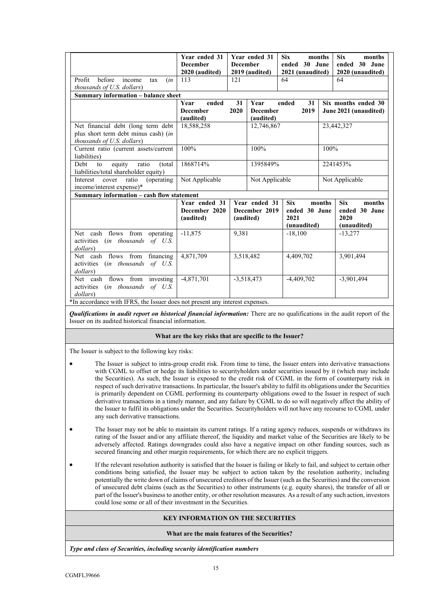|                                                                                                                                                               | Year ended 31<br><b>December</b><br>2020 (audited) | <b>December</b> | Year ended 31<br>2019 (audited)      | <b>Six</b><br>ended 30 June<br>2021 (unaudited)    | months | <b>Six</b><br>months<br>ended 30 June<br>2020 (unaudited)    |  |
|---------------------------------------------------------------------------------------------------------------------------------------------------------------|----------------------------------------------------|-----------------|--------------------------------------|----------------------------------------------------|--------|--------------------------------------------------------------|--|
| before<br>Profit<br>income<br>(in<br>tax<br>thousands of U.S. dollars)                                                                                        | 113                                                | 121             |                                      | 64                                                 |        | 64                                                           |  |
| Summary information - balance sheet                                                                                                                           |                                                    |                 |                                      |                                                    |        |                                                              |  |
|                                                                                                                                                               | Year<br>ended<br><b>December</b><br>(audited)      | 31<br>2020      | Year<br><b>December</b><br>(audited) | ended<br>31<br>2019                                |        | Six months ended 30<br>June 2021 (unaudited)                 |  |
| Net financial debt (long term debt<br>plus short term debt minus cash) (in<br>thousands of U.S. dollars)                                                      | 18,588,258                                         |                 | 12,746,867                           |                                                    |        | 23,442,327                                                   |  |
| Current ratio (current assets/current<br>liabilities)                                                                                                         | 100%                                               |                 | 100%                                 |                                                    | 100%   |                                                              |  |
| Debt<br>equity<br>ratio<br>(total)<br>to<br>liabilities/total shareholder equity)                                                                             | 1868714%<br>1395849%                               |                 |                                      | 2241453%                                           |        |                                                              |  |
| ratio<br>(operating)<br>Interest<br>cover<br>income/interest expense)*                                                                                        | Not Applicable<br>Not Applicable                   |                 | Not Applicable                       |                                                    |        |                                                              |  |
| Summary information - cash flow statement                                                                                                                     |                                                    |                 |                                      |                                                    |        |                                                              |  |
|                                                                                                                                                               | Year ended 31<br>December 2020<br>(audited)        | (audited)       | Year ended 31<br>December 2019       | <b>Six</b><br>ended 30 June<br>2021<br>(unaudited) | months | <b>Six</b><br>months<br>ended 30 June<br>2020<br>(unaudited) |  |
| Net cash flows from operating<br>activities (in thousands of U.S.<br>dollars)                                                                                 | $-11,875$                                          | 9,381           |                                      | $-18,100$                                          |        | $-13,277$                                                    |  |
| Net cash flows from financing<br>activities (in thousands of U.S.<br>dollars)                                                                                 | 4,871,709                                          | 3,518,482       |                                      | 4,409,702                                          |        | 3,901,494                                                    |  |
| Net cash flows from investing<br>activities (in thousands of U.S.<br>dollars)<br>*In accordance with IFRS, the Issuer does not present any interest expenses. | $-4,871,701$                                       |                 | $-3,518,473$                         | $-4,409,702$                                       |        | $-3,901,494$                                                 |  |

*Qualifications in audit report on historical financial information:* There are no qualifications in the audit report of the Issuer on its audited historical financial information.

# **What are the key risks that are specific to the Issuer?**

The Issuer is subject to the following key risks:

- The Issuer is subject to intra-group credit risk. From time to time, the Issuer enters into derivative transactions with CGML to offset or hedge its liabilities to securityholders under securities issued by it (which may include the Securities). As such, the Issuer is exposed to the credit risk of CGML in the form of counterparty risk in respect of such derivative transactions. In particular, the Issuer's ability to fulfil its obligations under the Securities is primarily dependent on CGML performing its counterparty obligations owed to the Issuer in respect of such derivative transactions in a timely manner, and any failure by CGML to do so will negatively affect the ability of the Issuer to fulfil its obligations under the Securities. Securityholders will not have any recourse to CGML under any such derivative transactions.
- The Issuer may not be able to maintain its current ratings. If a rating agency reduces, suspends or withdraws its rating of the Issuer and/or any affiliate thereof, the liquidity and market value of the Securities are likely to be adversely affected. Ratings downgrades could also have a negative impact on other funding sources, such as secured financing and other margin requirements, for which there are no explicit triggers.
- If the relevant resolution authority is satisfied that the Issuer is failing or likely to fail, and subject to certain other conditions being satisfied, the Issuer may be subject to action taken by the resolution authority, including potentially the write down of claims of unsecured creditors of the Issuer (such as the Securities) and the conversion of unsecured debt claims (such as the Securities) to other instruments (e.g. equity shares), the transfer of all or part of the Issuer's business to another entity, or other resolution measures. As a result of any such action, investors could lose some or all of their investment in the Securities.

# **KEY INFORMATION ON THE SECURITIES**

# **What are the main features of the Securities?**

*Type and class of Securities, including security identification numbers*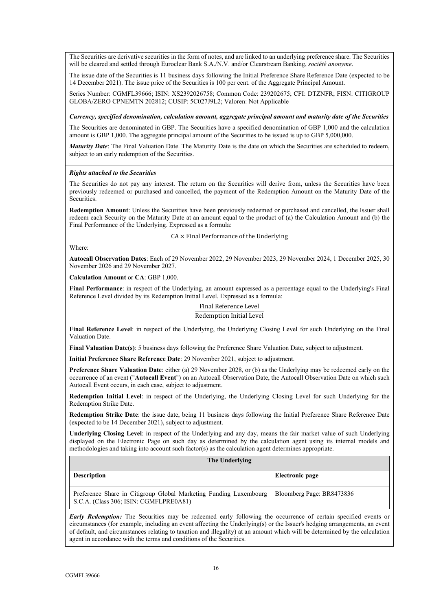The Securities are derivative securities in the form of notes, and are linked to an underlying preference share. The Securities will be cleared and settled through Euroclear Bank S.A./N.V. and/or Clearstream Banking, *société anonyme*.

The issue date of the Securities is 11 business days following the Initial Preference Share Reference Date (expected to be 14 December 2021). The issue price of the Securities is 100 per cent. of the Aggregate Principal Amount.

Series Number: CGMFL39666; ISIN: XS2392026758; Common Code: 239202675; CFI: DTZNFR; FISN: CITIGROUP GLOBA/ZERO CPNEMTN 202812; CUSIP: 5C027J9L2; Valoren: Not Applicable

*Currency, specified denomination, calculation amount, aggregate principal amount and maturity date of the Securities*

The Securities are denominated in GBP. The Securities have a specified denomination of GBP 1,000 and the calculation amount is GBP 1,000. The aggregate principal amount of the Securities to be issued is up to GBP 5,000,000.

*Maturity Date*: The Final Valuation Date. The Maturity Date is the date on which the Securities are scheduled to redeem, subject to an early redemption of the Securities.

# *Rights attached to the Securities*

The Securities do not pay any interest. The return on the Securities will derive from, unless the Securities have been previously redeemed or purchased and cancelled, the payment of the Redemption Amount on the Maturity Date of the Securities.

**Redemption Amount**: Unless the Securities have been previously redeemed or purchased and cancelled, the Issuer shall redeem each Security on the Maturity Date at an amount equal to the product of (a) the Calculation Amount and (b) the Final Performance of the Underlying. Expressed as a formula:

 $CA \times$  Final Performance of the Underlying

Where:

**Autocall Observation Dates**: Each of 29 November 2022, 29 November 2023, 29 November 2024, 1 December 2025, 30 November 2026 and 29 November 2027.

**Calculation Amount** or **CA**: GBP 1,000.

**Final Performance**: in respect of the Underlying, an amount expressed as a percentage equal to the Underlying's Final Reference Level divided by its Redemption Initial Level. Expressed as a formula:

> Final Reference Level Redemption Initial Level

**Final Reference Level**: in respect of the Underlying, the Underlying Closing Level for such Underlying on the Final Valuation Date.

**Final Valuation Date(s)**: 5 business days following the Preference Share Valuation Date, subject to adjustment.

**Initial Preference Share Reference Date**: 29 November 2021, subject to adjustment.

**Preference Share Valuation Date**: either (a) 29 November 2028, or (b) as the Underlying may be redeemed early on the occurrence of an event ("**Autocall Event**") on an Autocall Observation Date, the Autocall Observation Date on which such Autocall Event occurs, in each case, subject to adjustment.

**Redemption Initial Level**: in respect of the Underlying, the Underlying Closing Level for such Underlying for the Redemption Strike Date.

**Redemption Strike Date**: the issue date, being 11 business days following the Initial Preference Share Reference Date (expected to be 14 December 2021), subject to adjustment.

**Underlying Closing Level**: in respect of the Underlying and any day, means the fair market value of such Underlying displayed on the Electronic Page on such day as determined by the calculation agent using its internal models and methodologies and taking into account such factor(s) as the calculation agent determines appropriate.

| The Underlying                                                                                              |                           |  |  |  |  |
|-------------------------------------------------------------------------------------------------------------|---------------------------|--|--|--|--|
| <b>Description</b>                                                                                          | Electronic page           |  |  |  |  |
| Preference Share in Citigroup Global Marketing Funding Luxembourg<br>S.C.A. (Class 306; ISIN: CGMFLPRE0A81) | Bloomberg Page: BR8473836 |  |  |  |  |

*Early Redemption:* The Securities may be redeemed early following the occurrence of certain specified events or circumstances (for example, including an event affecting the Underlying(s) or the Issuer's hedging arrangements, an event of default, and circumstances relating to taxation and illegality) at an amount which will be determined by the calculation agent in accordance with the terms and conditions of the Securities.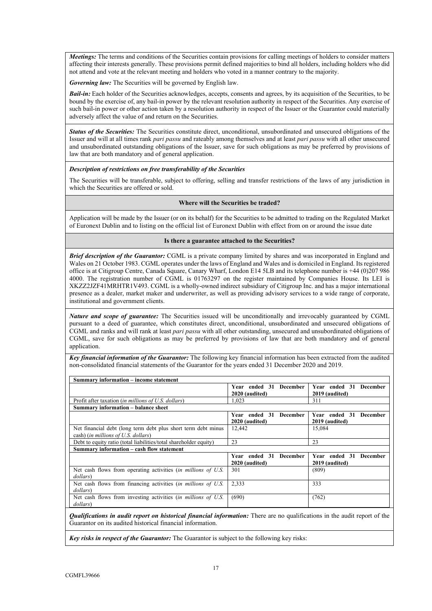*Meetings:* The terms and conditions of the Securities contain provisions for calling meetings of holders to consider matters affecting their interests generally. These provisions permit defined majorities to bind all holders, including holders who did not attend and vote at the relevant meeting and holders who voted in a manner contrary to the majority.

*Governing law:* The Securities will be governed by English law.

*Bail-in:* Each holder of the Securities acknowledges, accepts, consents and agrees, by its acquisition of the Securities, to be bound by the exercise of, any bail-in power by the relevant resolution authority in respect of the Securities. Any exercise of such bail-in power or other action taken by a resolution authority in respect of the Issuer or the Guarantor could materially adversely affect the value of and return on the Securities.

*Status of the Securities:* The Securities constitute direct, unconditional, unsubordinated and unsecured obligations of the Issuer and will at all times rank *pari passu* and rateably among themselves and at least *pari passu* with all other unsecured and unsubordinated outstanding obligations of the Issuer, save for such obligations as may be preferred by provisions of law that are both mandatory and of general application.

#### *Description of restrictions on free transferability of the Securities*

The Securities will be transferable, subject to offering, selling and transfer restrictions of the laws of any jurisdiction in which the Securities are offered or sold.

#### **Where will the Securities be traded?**

Application will be made by the Issuer (or on its behalf) for the Securities to be admitted to trading on the Regulated Market of Euronext Dublin and to listing on the official list of Euronext Dublin with effect from on or around the issue date

### **Is there a guarantee attached to the Securities?**

*Brief description of the Guarantor:* CGML is a private company limited by shares and was incorporated in England and Wales on 21 October 1983. CGML operates under the laws of England and Wales and is domiciled in England. Its registered office is at Citigroup Centre, Canada Square, Canary Wharf, London E14 5LB and its telephone number is +44 (0)207 986 4000. The registration number of CGML is 01763297 on the register maintained by Companies House. Its LEI is XKZZ2JZF41MRHTR1V493. CGML is a wholly-owned indirect subsidiary of Citigroup Inc. and has a major international presence as a dealer, market maker and underwriter, as well as providing advisory services to a wide range of corporate, institutional and government clients.

*Nature and scope of guarantee:* The Securities issued will be unconditionally and irrevocably guaranteed by CGML pursuant to a deed of guarantee, which constitutes direct, unconditional, unsubordinated and unsecured obligations of CGML and ranks and will rank at least *pari passu* with all other outstanding, unsecured and unsubordinated obligations of CGML, save for such obligations as may be preferred by provisions of law that are both mandatory and of general application.

*Key financial information of the Guarantor:* The following key financial information has been extracted from the audited non-consolidated financial statements of the Guarantor for the years ended 31 December 2020 and 2019.

| <b>Summary information – income statement</b>                                                        |                                          |                                                    |  |  |  |
|------------------------------------------------------------------------------------------------------|------------------------------------------|----------------------------------------------------|--|--|--|
|                                                                                                      | Year ended 31 December                   | Year ended 31<br><b>December</b>                   |  |  |  |
|                                                                                                      | 2020 (audited)                           | 2019 (audited)                                     |  |  |  |
| Profit after taxation ( <i>in millions of U.S. dollars</i> )                                         | 1.023                                    | 311                                                |  |  |  |
| Summary information – balance sheet                                                                  |                                          |                                                    |  |  |  |
|                                                                                                      | Year ended 31 December<br>2020 (audited) | Year ended 31<br><b>December</b><br>2019 (audited) |  |  |  |
| Net financial debt (long term debt plus short term debt minus<br>cash) (in millions of U.S. dollars) | 12,442                                   | 15,084                                             |  |  |  |
| Debt to equity ratio (total liabilities/total shareholder equity)                                    | 23                                       | 23                                                 |  |  |  |
| Summary information – cash flow statement                                                            |                                          |                                                    |  |  |  |
|                                                                                                      | Year ended 31 December<br>2020 (audited) | Year ended 31<br><b>December</b><br>2019 (audited) |  |  |  |
| Net cash flows from operating activities <i>(in millions of U.S.</i> )<br>dollars)                   | 301                                      | (809)                                              |  |  |  |
| Net cash flows from financing activities <i>(in millions of U.S.</i> )<br>dollars)                   | 2.333                                    | 333                                                |  |  |  |
| Net cash flows from investing activities <i>(in millions of U.S.</i> )<br>dollars)                   | (690)                                    | (762)                                              |  |  |  |

*Qualifications in audit report on historical financial information:* There are no qualifications in the audit report of the Guarantor on its audited historical financial information.

*Key risks in respect of the Guarantor:* The Guarantor is subject to the following key risks: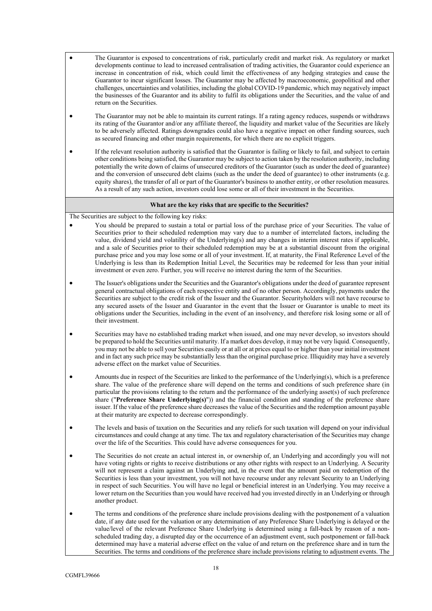- The Guarantor is exposed to concentrations of risk, particularly credit and market risk. As regulatory or market developments continue to lead to increased centralisation of trading activities, the Guarantor could experience an increase in concentration of risk, which could limit the effectiveness of any hedging strategies and cause the Guarantor to incur significant losses. The Guarantor may be affected by macroeconomic, geopolitical and other challenges, uncertainties and volatilities, including the global COVID-19 pandemic, which may negatively impact the businesses of the Guarantor and its ability to fulfil its obligations under the Securities, and the value of and return on the Securities.
- The Guarantor may not be able to maintain its current ratings. If a rating agency reduces, suspends or withdraws its rating of the Guarantor and/or any affiliate thereof, the liquidity and market value of the Securities are likely to be adversely affected. Ratings downgrades could also have a negative impact on other funding sources, such as secured financing and other margin requirements, for which there are no explicit triggers.
- If the relevant resolution authority is satisfied that the Guarantor is failing or likely to fail, and subject to certain other conditions being satisfied, the Guarantor may be subject to action taken by the resolution authority, including potentially the write down of claims of unsecured creditors of the Guarantor (such as under the deed of guarantee) and the conversion of unsecured debt claims (such as the under the deed of guarantee) to other instruments (e.g. equity shares), the transfer of all or part of the Guarantor's business to another entity, or other resolution measures. As a result of any such action, investors could lose some or all of their investment in the Securities.

# **What are the key risks that are specific to the Securities?**

The Securities are subject to the following key risks:

- You should be prepared to sustain a total or partial loss of the purchase price of your Securities. The value of Securities prior to their scheduled redemption may vary due to a number of interrelated factors, including the value, dividend yield and volatility of the Underlying(s) and any changes in interim interest rates if applicable, and a sale of Securities prior to their scheduled redemption may be at a substantial discount from the original purchase price and you may lose some or all of your investment. If, at maturity, the Final Reference Level of the Underlying is less than its Redemption Initial Level, the Securities may be redeemed for less than your initial investment or even zero. Further, you will receive no interest during the term of the Securities.
- The Issuer's obligations under the Securities and the Guarantor's obligations under the deed of guarantee represent general contractual obligations of each respective entity and of no other person. Accordingly, payments under the Securities are subject to the credit risk of the Issuer and the Guarantor. Securityholders will not have recourse to any secured assets of the Issuer and Guarantor in the event that the Issuer or Guarantor is unable to meet its obligations under the Securities, including in the event of an insolvency, and therefore risk losing some or all of their investment.
- Securities may have no established trading market when issued, and one may never develop, so investors should be prepared to hold the Securities until maturity. If a market does develop, it may not be very liquid. Consequently, you may not be able to sell your Securities easily or at all or at prices equal to or higher than your initial investment and in fact any such price may be substantially less than the original purchase price. Illiquidity may have a severely adverse effect on the market value of Securities.
- Amounts due in respect of the Securities are linked to the performance of the Underlying(s), which is a preference share. The value of the preference share will depend on the terms and conditions of such preference share (in particular the provisions relating to the return and the performance of the underlying asset(s) of such preference share ("**Preference Share Underlying(s)**")) and the financial condition and standing of the preference share issuer. If the value of the preference share decreases the value of the Securities and the redemption amount payable at their maturity are expected to decrease correspondingly.
- The levels and basis of taxation on the Securities and any reliefs for such taxation will depend on your individual circumstances and could change at any time. The tax and regulatory characterisation of the Securities may change over the life of the Securities. This could have adverse consequences for you.
- The Securities do not create an actual interest in, or ownership of, an Underlying and accordingly you will not have voting rights or rights to receive distributions or any other rights with respect to an Underlying. A Security will not represent a claim against an Underlying and, in the event that the amount paid on redemption of the Securities is less than your investment, you will not have recourse under any relevant Security to an Underlying in respect of such Securities. You will have no legal or beneficial interest in an Underlying. You may receive a lower return on the Securities than you would have received had you invested directly in an Underlying or through another product.
- The terms and conditions of the preference share include provisions dealing with the postponement of a valuation date, if any date used for the valuation or any determination of any Preference Share Underlying is delayed or the value/level of the relevant Preference Share Underlying is determined using a fall-back by reason of a nonscheduled trading day, a disrupted day or the occurrence of an adjustment event, such postponement or fall-back determined may have a material adverse effect on the value of and return on the preference share and in turn the Securities. The terms and conditions of the preference share include provisions relating to adjustment events. The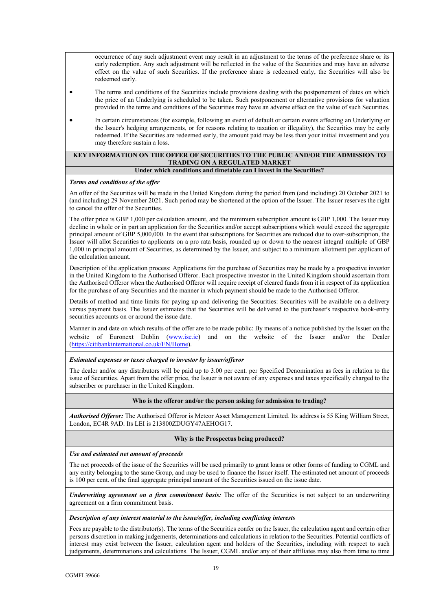occurrence of any such adjustment event may result in an adjustment to the terms of the preference share or its early redemption. Any such adjustment will be reflected in the value of the Securities and may have an adverse effect on the value of such Securities. If the preference share is redeemed early, the Securities will also be redeemed early.

- The terms and conditions of the Securities include provisions dealing with the postponement of dates on which the price of an Underlying is scheduled to be taken. Such postponement or alternative provisions for valuation provided in the terms and conditions of the Securities may have an adverse effect on the value of such Securities.
- In certain circumstances (for example, following an event of default or certain events affecting an Underlying or the Issuer's hedging arrangements, or for reasons relating to taxation or illegality), the Securities may be early redeemed. If the Securities are redeemed early, the amount paid may be less than your initial investment and you may therefore sustain a loss.

### **KEY INFORMATION ON THE OFFER OF SECURITIES TO THE PUBLIC AND/OR THE ADMISSION TO TRADING ON A REGULATED MARKET Under which conditions and timetable can I invest in the Securities?**

# *Terms and conditions of the offer*

An offer of the Securities will be made in the United Kingdom during the period from (and including) 20 October 2021 to (and including) 29 November 2021. Such period may be shortened at the option of the Issuer. The Issuer reserves the right to cancel the offer of the Securities.

The offer price is GBP 1,000 per calculation amount, and the minimum subscription amount is GBP 1,000. The Issuer may decline in whole or in part an application for the Securities and/or accept subscriptions which would exceed the aggregate principal amount of GBP 5,000,000. In the event that subscriptions for Securities are reduced due to over-subscription, the Issuer will allot Securities to applicants on a pro rata basis, rounded up or down to the nearest integral multiple of GBP 1,000 in principal amount of Securities, as determined by the Issuer, and subject to a minimum allotment per applicant of the calculation amount.

Description of the application process: Applications for the purchase of Securities may be made by a prospective investor in the United Kingdom to the Authorised Offeror. Each prospective investor in the United Kingdom should ascertain from the Authorised Offeror when the Authorised Offeror will require receipt of cleared funds from it in respect of its application for the purchase of any Securities and the manner in which payment should be made to the Authorised Offeror.

Details of method and time limits for paying up and delivering the Securities: Securities will be available on a delivery versus payment basis. The Issuer estimates that the Securities will be delivered to the purchaser's respective book-entry securities accounts on or around the issue date.

Manner in and date on which results of the offer are to be made public: By means of a notice published by the Issuer on the website of Euronext Dublin [\(www.ise.ie](http://www.ise.ie/)) and on the website of the Issuer and/or the Dealer (<https://citibankinternational.co.uk/EN/Home>).

# *Estimated expenses or taxes charged to investor by issuer/offeror*

The dealer and/or any distributors will be paid up to 3.00 per cent. per Specified Denomination as fees in relation to the issue of Securities. Apart from the offer price, the Issuer is not aware of any expenses and taxes specifically charged to the subscriber or purchaser in the United Kingdom.

#### **Who is the offeror and/or the person asking for admission to trading?**

*Authorised Offeror:* The Authorised Offeror is Meteor Asset Management Limited. Its address is 55 King William Street, London, EC4R 9AD. Its LEI is 213800ZDUGY47AEHOG17.

# **Why is the Prospectus being produced?**

*Use and estimated net amount of proceeds* 

The net proceeds of the issue of the Securities will be used primarily to grant loans or other forms of funding to CGML and any entity belonging to the same Group, and may be used to finance the Issuer itself. The estimated net amount of proceeds is 100 per cent. of the final aggregate principal amount of the Securities issued on the issue date.

*Underwriting agreement on a firm commitment basis:* The offer of the Securities is not subject to an underwriting agreement on a firm commitment basis.

#### *Description of any interest material to the issue/offer, including conflicting interests*

Fees are payable to the distributor(s). The terms of the Securities confer on the Issuer, the calculation agent and certain other persons discretion in making judgements, determinations and calculations in relation to the Securities. Potential conflicts of interest may exist between the Issuer, calculation agent and holders of the Securities, including with respect to such judgements, determinations and calculations. The Issuer, CGML and/or any of their affiliates may also from time to time